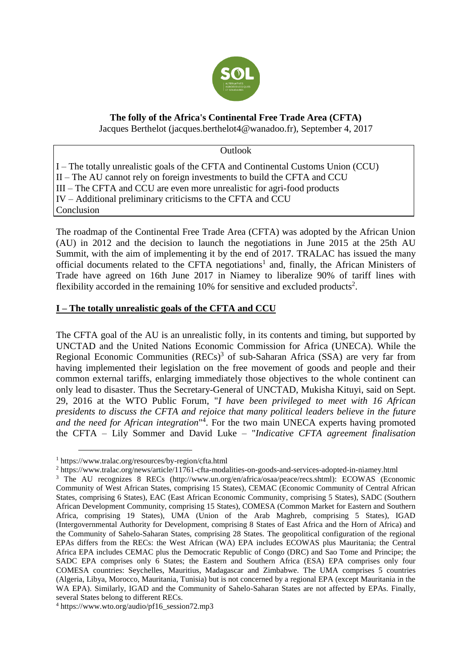

# **The folly of the Africa's Continental Free Trade Area (CFTA)**

Jacques Berthelot (jacques.berthelot4@wanadoo.fr), September 4, 2017

**Outlook** 

I – The totally unrealistic goals of the CFTA and Continental Customs Union (CCU) II – The AU cannot rely on foreign investments to build the CFTA and CCU III – The CFTA and CCU are even more unrealistic for agri-food products IV – Additional preliminary criticisms to the CFTA and CCU Conclusion

The roadmap of the Continental Free Trade Area (CFTA) was adopted by the African Union (AU) in 2012 and the decision to launch the negotiations in June 2015 at the 25th AU Summit, with the aim of implementing it by the end of 2017. TRALAC has issued the many official documents related to the CFTA negotiations<sup>1</sup> and, finally, the African Ministers of Trade have agreed on 16th June 2017 in Niamey to liberalize 90% of tariff lines with flexibility accorded in the remaining  $10\%$  for sensitive and excluded products<sup>2</sup>.

# **I – The totally unrealistic goals of the CFTA and CCU**

The CFTA goal of the AU is an unrealistic folly, in its contents and timing, but supported by UNCTAD and the United Nations Economic Commission for Africa (UNECA). While the Regional Economic Communities  $(RECs)^3$  of sub-Saharan Africa (SSA) are very far from having implemented their legislation on the free movement of goods and people and their common external tariffs, enlarging immediately those objectives to the whole continent can only lead to disaster. Thus the Secretary-General of UNCTAD, Mukisha Kituyi, said on Sept. 29, 2016 at the WTO Public Forum, "*I have been privileged to meet with 16 African presidents to discuss the CFTA and rejoice that many political leaders believe in the future and the need for African integration*" 4 . For the two main UNECA experts having promoted the CFTA – Lily Sommer and David Luke – "*Indicative CFTA agreement finalisation* 

<sup>1</sup> https://www.tralac.org/resources/by-region/cfta.html

<sup>2</sup> https://www.tralac.org/news/article/11761-cfta-modalities-on-goods-and-services-adopted-in-niamey.html

<sup>3</sup> The AU recognizes 8 RECs (http://www.un.org/en/africa/osaa/peace/recs.shtml): ECOWAS (Economic Community of West African States, comprising 15 States), CEMAC (Economic Community of Central African States, comprising 6 States), EAC (East African Economic Community, comprising 5 States), SADC (Southern African Development Community, comprising 15 States), COMESA (Common Market for Eastern and Southern Africa, comprising 19 States), UMA (Union of the Arab Maghreb, comprising 5 States), IGAD (Intergovernmental Authority for Development, comprising 8 States of East Africa and the Horn of Africa) and the Community of Sahelo-Saharan States, comprising 28 States. The geopolitical configuration of the regional EPAs differs from the RECs: the West African (WA) EPA includes ECOWAS plus Mauritania; the Central Africa EPA includes CEMAC plus the Democratic Republic of Congo (DRC) and Sao Tome and Principe; the SADC EPA comprises only 6 States; the Eastern and Southern Africa (ESA) EPA comprises only four COMESA countries: Seychelles, Mauritius, Madagascar and Zimbabwe. The UMA comprises 5 countries (Algeria, Libya, Morocco, Mauritania, Tunisia) but is not concerned by a regional EPA (except Mauritania in the WA EPA). Similarly, IGAD and the Community of Sahelo-Saharan States are not affected by EPAs. Finally, several States belong to different RECs.

<sup>4</sup> https://www.wto.org/audio/pf16\_session72.mp3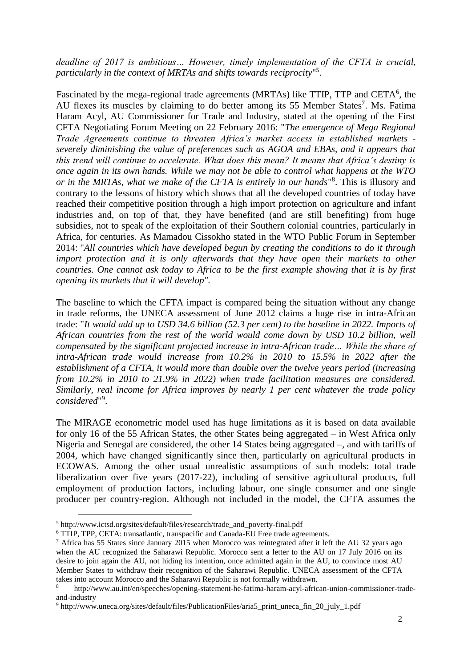*deadline of 2017 is ambitious… However, timely implementation of the CFTA is crucial, particularly in the context of MRTAs and shifts towards reciprocity*" 5 .

Fascinated by the mega-regional trade agreements (MRTAs) like TTIP, TTP and CETA<sup>6</sup>, the AU flexes its muscles by claiming to do better among its 55 Member States<sup>7</sup>. Ms. Fatima Haram Acyl, AU Commissioner for Trade and Industry, stated at the opening of the First CFTA Negotiating Forum Meeting on 22 February 2016: "*The emergence of Mega Regional Trade Agreements continue to threaten Africa's market access in established markets severely diminishing the value of preferences such as AGOA and EBAs, and it appears that this trend will continue to accelerate. What does this mean? It means that Africa's destiny is once again in its own hands. While we may not be able to control what happens at the WTO or in the MRTAs, what we make of the CFTA is entirely in our hands*" 8 . This is illusory and contrary to the lessons of history which shows that all the developed countries of today have reached their competitive position through a high import protection on agriculture and infant industries and, on top of that, they have benefited (and are still benefiting) from huge subsidies, not to speak of the exploitation of their Southern colonial countries, particularly in Africa, for centuries. As Mamadou Cissokho stated in the WTO Public Forum in September 2014: "*All countries which have developed begun by creating the conditions to do it through import protection and it is only afterwards that they have open their markets to other countries. One cannot ask today to Africa to be the first example showing that it is by first opening its markets that it will develop".*

The baseline to which the CFTA impact is compared being the situation without any change in trade reforms, the UNECA assessment of June 2012 claims a huge rise in intra-African trade: "*It would add up to USD 34.6 billion (52.3 per cent) to the baseline in 2022. Imports of African countries from the rest of the world would come down by USD 10.2 billion, well compensated by the significant projected increase in intra-African trade… While the share of intra-African trade would increase from 10.2% in 2010 to 15.5% in 2022 after the establishment of a CFTA, it would more than double over the twelve years period (increasing from 10.2% in 2010 to 21.9% in 2022) when trade facilitation measures are considered. Similarly, real income for Africa improves by nearly 1 per cent whatever the trade policy*  considered"<sup>9</sup>.

The MIRAGE econometric model used has huge limitations as it is based on data available for only 16 of the 55 African States, the other States being aggregated – in West Africa only Nigeria and Senegal are considered, the other 14 States being aggregated –, and with tariffs of 2004, which have changed significantly since then, particularly on agricultural products in ECOWAS. Among the other usual unrealistic assumptions of such models: total trade liberalization over five years (2017-22), including of sensitive agricultural products, full employment of production factors, including labour, one single consumer and one single producer per country-region. Although not included in the model, the CFTA assumes the

<sup>5</sup> http://www.ictsd.org/sites/default/files/research/trade\_and\_poverty-final.pdf

<sup>6</sup> TTIP, TPP, CETA: transatlantic, transpacific and Canada-EU Free trade agreements.

<sup>7</sup> Africa has 55 States since January 2015 when Morocco was reintegrated after it left the AU 32 years ago when the AU recognized the Saharawi Republic. Morocco sent a letter to the AU on 17 July 2016 on its desire to join again the AU, not hiding its intention, once admitted again in the AU, to convince most AU Member States to withdraw their recognition of the Saharawi Republic. UNECA assessment of the CFTA takes into account Morocco and the Saharawi Republic is not formally withdrawn.

<sup>8</sup> http://www.au.int/en/speeches/opening-statement-he-fatima-haram-acyl-african-union-commissioner-tradeand-industry

<sup>9</sup> http://www.uneca.org/sites/default/files/PublicationFiles/aria5\_print\_uneca\_fin\_20\_july\_1.pdf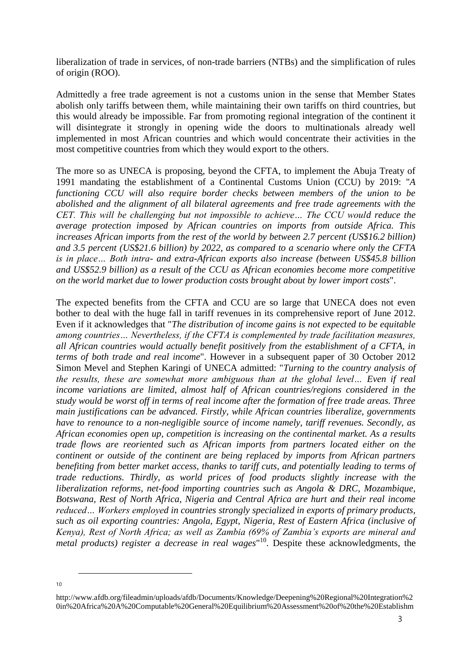liberalization of trade in services, of non-trade barriers (NTBs) and the simplification of rules of origin (ROO).

Admittedly a free trade agreement is not a customs union in the sense that Member States abolish only tariffs between them, while maintaining their own tariffs on third countries, but this would already be impossible. Far from promoting regional integration of the continent it will disintegrate it strongly in opening wide the doors to multinationals already well implemented in most African countries and which would concentrate their activities in the most competitive countries from which they would export to the others.

The more so as UNECA is proposing, beyond the CFTA, to implement the Abuja Treaty of 1991 mandating the establishment of a Continental Customs Union (CCU) by 2019: "*A functioning CCU will also require border checks between members of the union to be abolished and the alignment of all bilateral agreements and free trade agreements with the CET. This will be challenging but not impossible to achieve… The CCU would reduce the average protection imposed by African countries on imports from outside Africa. This increases African imports from the rest of the world by between 2.7 percent (US\$16.2 billion) and 3.5 percent (US\$21.6 billion) by 2022, as compared to a scenario where only the CFTA is in place… Both intra- and extra-African exports also increase (between US\$45.8 billion and US\$52.9 billion) as a result of the CCU as African economies become more competitive on the world market due to lower production costs brought about by lower import costs*".

The expected benefits from the CFTA and CCU are so large that UNECA does not even bother to deal with the huge fall in tariff revenues in its comprehensive report of June 2012. Even if it acknowledges that "*The distribution of income gains is not expected to be equitable among countries… Nevertheless, if the CFTA is complemented by trade facilitation measures, all African countries would actually benefit positively from the establishment of a CFTA, in terms of both trade and real income*". However in a subsequent paper of 30 October 2012 Simon Mevel and Stephen Karingi of UNECA admitted: "*Turning to the country analysis of the results, these are somewhat more ambiguous than at the global level… Even if real income variations are limited, almost half of African countries/regions considered in the study would be worst off in terms of real income after the formation of free trade areas. Three main justifications can be advanced. Firstly, while African countries liberalize, governments have to renounce to a non-negligible source of income namely, tariff revenues. Secondly, as African economies open up, competition is increasing on the continental market. As a results trade flows are reoriented such as African imports from partners located either on the continent or outside of the continent are being replaced by imports from African partners benefiting from better market access, thanks to tariff cuts, and potentially leading to terms of trade reductions. Thirdly, as world prices of food products slightly increase with the liberalization reforms, net-food importing countries such as Angola & DRC, Mozambique, Botswana, Rest of North Africa, Nigeria and Central Africa are hurt and their real income reduced… Workers employed in countries strongly specialized in exports of primary products, such as oil exporting countries: Angola, Egypt, Nigeria, Rest of Eastern Africa (inclusive of Kenya), Rest of North Africa; as well as Zambia (69% of Zambia's exports are mineral and metal products) register a decrease in real wages*" <sup>10</sup>. Despite these acknowledgments, the

-

10

http://www.afdb.org/fileadmin/uploads/afdb/Documents/Knowledge/Deepening%20Regional%20Integration%2 0in%20Africa%20A%20Computable%20General%20Equilibrium%20Assessment%20of%20the%20Establishm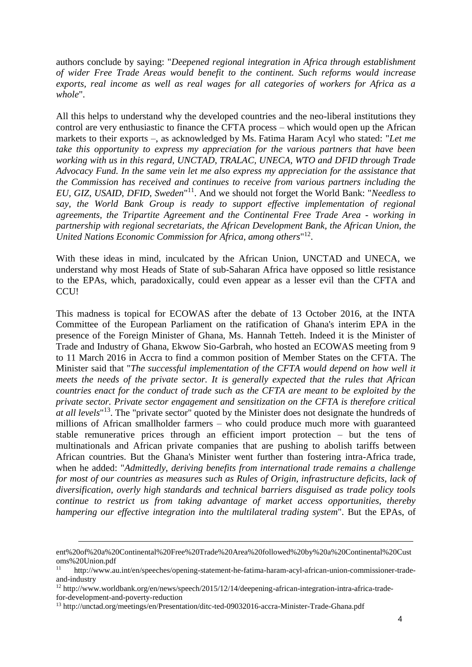authors conclude by saying: "*Deepened regional integration in Africa through establishment of wider Free Trade Areas would benefit to the continent. Such reforms would increase exports, real income as well as real wages for all categories of workers for Africa as a whole*".

All this helps to understand why the developed countries and the neo-liberal institutions they control are very enthusiastic to finance the CFTA process – which would open up the African markets to their exports –, as acknowledged by Ms. Fatima Haram Acyl who stated: "*Let me take this opportunity to express my appreciation for the various partners that have been working with us in this regard, UNCTAD, TRALAC, UNECA, WTO and DFID through Trade Advocacy Fund. In the same vein let me also express my appreciation for the assistance that the Commission has received and continues to receive from various partners including the EU, GIZ, USAID, DFID, Sweden*" <sup>11</sup>. And we should not forget the World Bank: "*Needless to say, the World Bank Group is ready to support effective implementation of regional agreements, the Tripartite Agreement and the Continental Free Trade Area - working in partnership with regional secretariats, the African Development Bank, the African Union, the United Nations Economic Commission for Africa, among others*" 12 .

With these ideas in mind, inculcated by the African Union, UNCTAD and UNECA, we understand why most Heads of State of sub-Saharan Africa have opposed so little resistance to the EPAs, which, paradoxically, could even appear as a lesser evil than the CFTA and CCU!

This madness is topical for ECOWAS after the debate of 13 October 2016, at the INTA Committee of the European Parliament on the ratification of Ghana's interim EPA in the presence of the Foreign Minister of Ghana, Ms. Hannah Tetteh. Indeed it is the Minister of Trade and Industry of Ghana, Ekwow Sio-Garbrah, who hosted an ECOWAS meeting from 9 to 11 March 2016 in Accra to find a common position of Member States on the CFTA. The Minister said that "*The successful implementation of the CFTA would depend on how well it meets the needs of the private sector. It is generally expected that the rules that African countries enact for the conduct of trade such as the CFTA are meant to be exploited by the private sector. Private sector engagement and sensitization on the CFTA is therefore critical at all levels*" <sup>13</sup>. The "private sector" quoted by the Minister does not designate the hundreds of millions of African smallholder farmers – who could produce much more with guaranteed stable remunerative prices through an efficient import protection – but the tens of multinationals and African private companies that are pushing to abolish tariffs between African countries. But the Ghana's Minister went further than fostering intra-Africa trade, when he added: "*Admittedly, deriving benefits from international trade remains a challenge for most of our countries as measures such as Rules of Origin, infrastructure deficits, lack of diversification, overly high standards and technical barriers disguised as trade policy tools continue to restrict us from taking advantage of market access opportunities, thereby hampering our effective integration into the multilateral trading system*". But the EPAs, of

ent%20of%20a%20Continental%20Free%20Trade%20Area%20followed%20by%20a%20Continental%20Cust oms%20Union.pdf

<sup>11</sup> http://www.au.int/en/speeches/opening-statement-he-fatima-haram-acyl-african-union-commissioner-tradeand-industry

<sup>12</sup> http://www.worldbank.org/en/news/speech/2015/12/14/deepening-african-integration-intra-africa-trade-

for-development-and-poverty-reduction

<sup>13</sup> http://unctad.org/meetings/en/Presentation/ditc-ted-09032016-accra-Minister-Trade-Ghana.pdf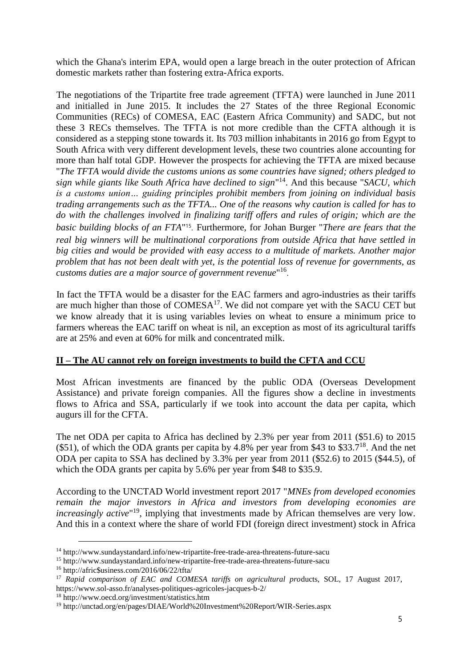which the Ghana's interim EPA, would open a large breach in the outer protection of African domestic markets rather than fostering extra-Africa exports.

The negotiations of the Tripartite free trade agreement (TFTA) were launched in June 2011 and initialled in June 2015. It includes the 27 States of the three Regional Economic Communities (RECs) of COMESA, EAC (Eastern Africa Community) and SADC, but not these 3 RECs themselves. The TFTA is not more credible than the CFTA although it is considered as a stepping stone towards it. Its 703 million inhabitants in 2016 go from Egypt to South Africa with very different development levels, these two countries alone accounting for more than half total GDP. However the prospects for achieving the TFTA are mixed because "*The TFTA would divide the customs unions as some countries have signed; others pledged to sign while giants like South Africa have declined to sign*" <sup>14</sup>. And this because "*SACU, which is a customs union… guiding principles prohibit members from joining on individual basis trading arrangements such as the TFTA... One of the reasons why caution is called for has to do with the challenges involved in finalizing tariff offers and rules of origin; which are the*  basic building blocks of an FTA<sup>"15</sup>. Furthermore, for Johan Burger "There are fears that the *real big winners will be multinational corporations from outside Africa that have settled in big cities and would be provided with easy access to a multitude of markets. Another major problem that has not been dealt with yet, is the potential loss of revenue for governments, as customs duties are a major source of government revenue*" 16 .

In fact the TFTA would be a disaster for the EAC farmers and agro-industries as their tariffs are much higher than those of  $COMESA^{17}$ . We did not compare yet with the SACU CET but we know already that it is using variables levies on wheat to ensure a minimum price to farmers whereas the EAC tariff on wheat is nil, an exception as most of its agricultural tariffs are at 25% and even at 60% for milk and concentrated milk.

# **II – The AU cannot rely on foreign investments to build the CFTA and CCU**

Most African investments are financed by the public ODA (Overseas Development Assistance) and private foreign companies. All the figures show a decline in investments flows to Africa and SSA, particularly if we took into account the data per capita, which augurs ill for the CFTA.

The net ODA per capita to Africa has declined by 2.3% per year from 2011 (\$51.6) to 2015  $($ \$51), of which the ODA grants per capita by 4.8% per year from \$43 to \$33.7<sup>18</sup>. And the net ODA per capita to SSA has declined by 3.3% per year from 2011 (\$52.6) to 2015 (\$44.5), of which the ODA grants per capita by 5.6% per year from \$48 to \$35.9.

According to the UNCTAD World investment report 2017 "*MNEs from developed economies remain the major investors in Africa and investors from developing economies are increasingly active*" <sup>19</sup>, implying that investments made by African themselves are very low. And this in a context where the share of world FDI (foreign direct investment) stock in Africa

<sup>14</sup> http://www.sundaystandard.info/new-tripartite-free-trade-area-threatens-future-sacu

<sup>15</sup> http://www.sundaystandard.info/new-tripartite-free-trade-area-threatens-future-sacu

<sup>16</sup> http://afric\$usiness.com/2016/06/22/tfta/

<sup>&</sup>lt;sup>17</sup> Rapid comparison of EAC and COMESA tariffs on agricultural products, SOL, 17 August 2017, https://www.sol-asso.fr/analyses-politiques-agricoles-jacques-b-2/

<sup>18</sup> http://www.oecd.org/investment/statistics.htm

<sup>19</sup> http://unctad.org/en/pages/DIAE/World%20Investment%20Report/WIR-Series.aspx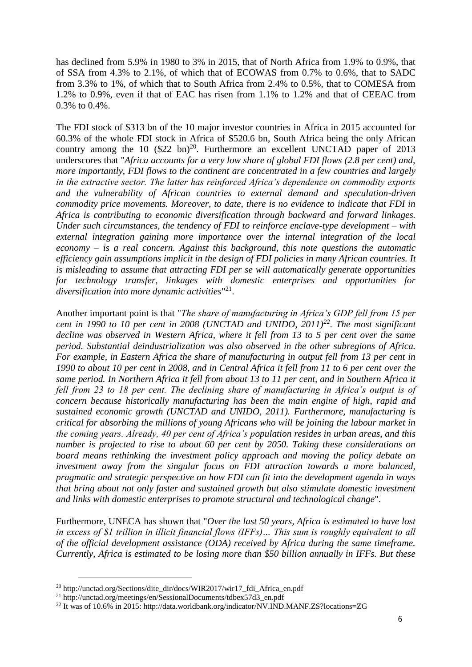has declined from 5.9% in 1980 to 3% in 2015, that of North Africa from 1.9% to 0.9%, that of SSA from 4.3% to 2.1%, of which that of ECOWAS from 0.7% to 0.6%, that to SADC from 3.3% to 1%, of which that to South Africa from 2.4% to 0.5%, that to COMESA from 1.2% to 0.9%, even if that of EAC has risen from 1.1% to 1.2% and that of CEEAC from 0.3% to 0.4%.

The FDI stock of \$313 bn of the 10 major investor countries in Africa in 2015 accounted for 60.3% of the whole FDI stock in Africa of \$520.6 bn, South Africa being the only African country among the 10  $(\$22 \text{ bn})^{20}$ . Furthermore an excellent UNCTAD paper of 2013 underscores that "*Africa accounts for a very low share of global FDI flows (2.8 per cent) and, more importantly, FDI flows to the continent are concentrated in a few countries and largely in the extractive sector. The latter has reinforced Africa's dependence on commodity exports and the vulnerability of African countries to external demand and speculation-driven commodity price movements. Moreover, to date, there is no evidence to indicate that FDI in Africa is contributing to economic diversification through backward and forward linkages. Under such circumstances, the tendency of FDI to reinforce enclave-type development – with external integration gaining more importance over the internal integration of the local economy – is a real concern. Against this background, this note questions the automatic efficiency gain assumptions implicit in the design of FDI policies in many African countries. It is misleading to assume that attracting FDI per se will automatically generate opportunities for technology transfer, linkages with domestic enterprises and opportunities for diversification into more dynamic activities*" 21 .

Another important point is that "*The share of manufacturing in Africa's GDP fell from 15 per cent in 1990 to 10 per cent in 2008 (UNCTAD and UNIDO, 2011)<sup>22</sup>. The most significant decline was observed in Western Africa, where it fell from 13 to 5 per cent over the same period. Substantial deindustrialization was also observed in the other subregions of Africa. For example, in Eastern Africa the share of manufacturing in output fell from 13 per cent in 1990 to about 10 per cent in 2008, and in Central Africa it fell from 11 to 6 per cent over the same period. In Northern Africa it fell from about 13 to 11 per cent, and in Southern Africa it fell from 23 to 18 per cent. The declining share of manufacturing in Africa's output is of concern because historically manufacturing has been the main engine of high, rapid and sustained economic growth (UNCTAD and UNIDO, 2011). Furthermore, manufacturing is critical for absorbing the millions of young Africans who will be joining the labour market in the coming years. Already, 40 per cent of Africa's population resides in urban areas, and this number is projected to rise to about 60 per cent by 2050. Taking these considerations on board means rethinking the investment policy approach and moving the policy debate on investment away from the singular focus on FDI attraction towards a more balanced, pragmatic and strategic perspective on how FDI can fit into the development agenda in ways that bring about not only faster and sustained growth but also stimulate domestic investment and links with domestic enterprises to promote structural and technological change*".

Furthermore, UNECA has shown that "*Over the last 50 years, Africa is estimated to have lost in excess of \$1 trillion in illicit financial flows (IFFs)… This sum is roughly equivalent to all of the official development assistance (ODA) received by Africa during the same timeframe. Currently, Africa is estimated to be losing more than \$50 billion annually in IFFs. But these* 

<sup>20</sup> http://unctad.org/Sections/dite\_dir/docs/WIR2017/wir17\_fdi\_Africa\_en.pdf

<sup>&</sup>lt;sup>21</sup> http://unctad.org/meetings/en/SessionalDocuments/tdbex57d3\_en.pdf

<sup>22</sup> It was of 10.6% in 2015: http://data.worldbank.org/indicator/NV.IND.MANF.ZS?locations=ZG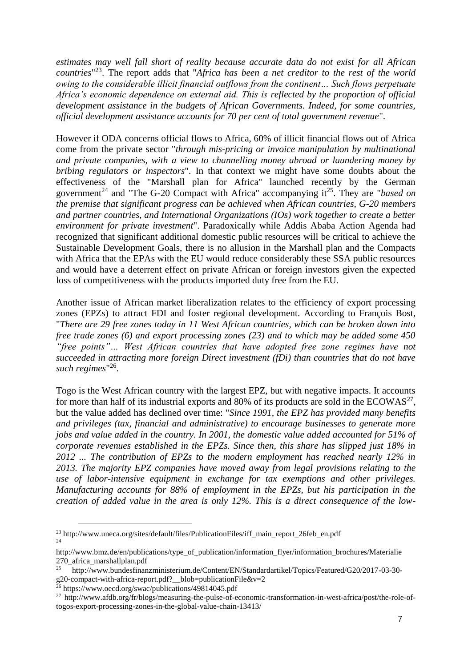*estimates may well fall short of reality because accurate data do not exist for all African countries*" <sup>23</sup>. The report adds that "*Africa has been a net creditor to the rest of the world owing to the considerable illicit financial outflows from the continent… Such flows perpetuate Africa's economic dependence on external aid. This is reflected by the proportion of official development assistance in the budgets of African Governments. Indeed, for some countries, official development assistance accounts for 70 per cent of total government revenue*".

However if ODA concerns official flows to Africa, 60% of illicit financial flows out of Africa come from the private sector "*through mis-pricing or invoice manipulation by multinational and private companies, with a view to channelling money abroad or laundering money by bribing regulators or inspectors*". In that context we might have some doubts about the effectiveness of the "Marshall plan for Africa" launched recently by the German government<sup>24</sup> and "The G-20 Compact with Africa" accompanying it<sup>25</sup>. They are "*based on the premise that significant progress can be achieved when African countries, G-20 members and partner countries, and International Organizations (IOs) work together to create a better environment for private investment*". Paradoxically while Addis Ababa Action Agenda had recognized that significant additional domestic public resources will be critical to achieve the Sustainable Development Goals, there is no allusion in the Marshall plan and the Compacts with Africa that the EPAs with the EU would reduce considerably these SSA public resources and would have a deterrent effect on private African or foreign investors given the expected loss of competitiveness with the products imported duty free from the EU.

Another issue of African market liberalization relates to the efficiency of export processing zones (EPZs) to attract FDI and foster regional development. According to François Bost, "*There are 29 free zones today in 11 West African countries, which can be broken down into free trade zones (6) and export processing zones (23) and to which may be added some 450 "free points"… West African countries that have adopted free zone regimes have not succeeded in attracting more foreign Direct investment (fDi) than countries that do not have*  such regimes<sup>"26</sup>.

Togo is the West African country with the largest EPZ, but with negative impacts. It accounts for more than half of its industrial exports and 80% of its products are sold in the ECOWAS<sup>27</sup>, but the value added has declined over time: "*Since 1991, the EPZ has provided many benefits and privileges (tax, financial and administrative) to encourage businesses to generate more jobs and value added in the country. In 2001, the domestic value added accounted for 51% of corporate revenues established in the EPZs. Since then, this share has slipped just 18% in 2012 ... The contribution of EPZs to the modern employment has reached nearly 12% in 2013. The majority EPZ companies have moved away from legal provisions relating to the use of labor-intensive equipment in exchange for tax exemptions and other privileges. Manufacturing accounts for 88% of employment in the EPZs, but his participation in the creation of added value in the area is only 12%. This is a direct consequence of the low-*

<sup>&</sup>lt;sup>23</sup> http://www.uneca.org/sites/default/files/PublicationFiles/iff\_main\_report\_26feb\_en.pdf 24

http://www.bmz.de/en/publications/type\_of\_publication/information\_flyer/information\_brochures/Materialie 270\_africa\_marshallplan.pdf

<sup>25</sup> http://www.bundesfinanzministerium.de/Content/EN/Standardartikel/Topics/Featured/G20/2017-03-30 g20-compact-with-africa-report.pdf?\_\_blob=publicationFile&v=2

<sup>26</sup> https://www.oecd.org/swac/publications/49814045.pdf

<sup>&</sup>lt;sup>27</sup> http://www.afdb.org/fr/blogs/measuring-the-pulse-of-economic-transformation-in-west-africa/post/the-role-oftogos-export-processing-zones-in-the-global-value-chain-13413/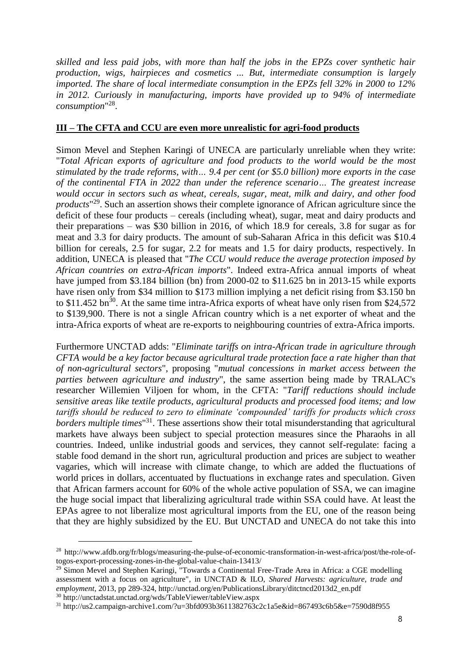*skilled and less paid jobs, with more than half the jobs in the EPZs cover synthetic hair production, wigs, hairpieces and cosmetics ... But, intermediate consumption is largely imported. The share of local intermediate consumption in the EPZs fell 32% in 2000 to 12% in 2012. Curiously in manufacturing, imports have provided up to 94% of intermediate consumption*" 28 .

### **III – The CFTA and CCU are even more unrealistic for agri-food products**

Simon Mevel and Stephen Karingi of UNECA are particularly unreliable when they write: "*Total African exports of agriculture and food products to the world would be the most stimulated by the trade reforms, with… 9.4 per cent (or \$5.0 billion) more exports in the case of the continental FTA in 2022 than under the reference scenario… The greatest increase would occur in sectors such as wheat, cereals, sugar, meat, milk and dairy, and other food products*" <sup>29</sup>. Such an assertion shows their complete ignorance of African agriculture since the deficit of these four products – cereals (including wheat), sugar, meat and dairy products and their preparations – was \$30 billion in 2016, of which 18.9 for cereals, 3.8 for sugar as for meat and 3.3 for dairy products. The amount of sub-Saharan Africa in this deficit was \$10.4 billion for cereals, 2.5 for sugar, 2.2 for meats and 1.5 for dairy products, respectively. In addition, UNECA is pleased that "*The CCU would reduce the average protection imposed by African countries on extra-African imports*". Indeed extra-Africa annual imports of wheat have jumped from \$3.184 billion (bn) from 2000-02 to \$11.625 bn in 2013-15 while exports have risen only from \$34 million to \$173 million implying a net deficit rising from \$3.150 bn to \$11.452 bn<sup>30</sup>. At the same time intra-Africa exports of wheat have only risen from \$24,572 to \$139,900. There is not a single African country which is a net exporter of wheat and the intra-Africa exports of wheat are re-exports to neighbouring countries of extra-Africa imports.

Furthermore UNCTAD adds: "*Eliminate tariffs on intra-African trade in agriculture through CFTA would be a key factor because agricultural trade protection face a rate higher than that of non-agricultural sectors*", proposing "*mutual concessions in market access between the parties between agriculture and industry*", the same assertion being made by TRALAC's researcher Willemien Viljoen for whom, in the CFTA: "*Tariff reductions should include sensitive areas like textile products, agricultural products and processed food items; and low tariffs should be reduced to zero to eliminate 'compounded' tariffs for products which cross borders multiple times*" <sup>31</sup>. These assertions show their total misunderstanding that agricultural markets have always been subject to special protection measures since the Pharaohs in all countries. Indeed, unlike industrial goods and services, they cannot self-regulate: facing a stable food demand in the short run, agricultural production and prices are subject to weather vagaries, which will increase with climate change, to which are added the fluctuations of world prices in dollars, accentuated by fluctuations in exchange rates and speculation. Given that African farmers account for 60% of the whole active population of SSA, we can imagine the huge social impact that liberalizing agricultural trade within SSA could have. At least the EPAs agree to not liberalize most agricultural imports from the EU, one of the reason being that they are highly subsidized by the EU. But UNCTAD and UNECA do not take this into

<sup>28</sup> http://www.afdb.org/fr/blogs/measuring-the-pulse-of-economic-transformation-in-west-africa/post/the-role-oftogos-export-processing-zones-in-the-global-value-chain-13413/

<sup>&</sup>lt;sup>29</sup> Simon Mevel and Stephen Karingi, "Towards a Continental Free-Trade Area in Africa: a CGE modelling assessment with a focus on agriculture", in UNCTAD & ILO, *Shared Harvests: agriculture, trade and employment*, 2013, pp 289-324, http://unctad.org/en/PublicationsLibrary/ditctncd2013d2\_en.pdf <sup>30</sup> http://unctadstat.unctad.org/wds/TableViewer/tableView.aspx

<sup>31</sup> http://us2.campaign-archive1.com/?u=3bfd093b3611382763c2c1a5e&id=867493c6b5&e=7590d8f955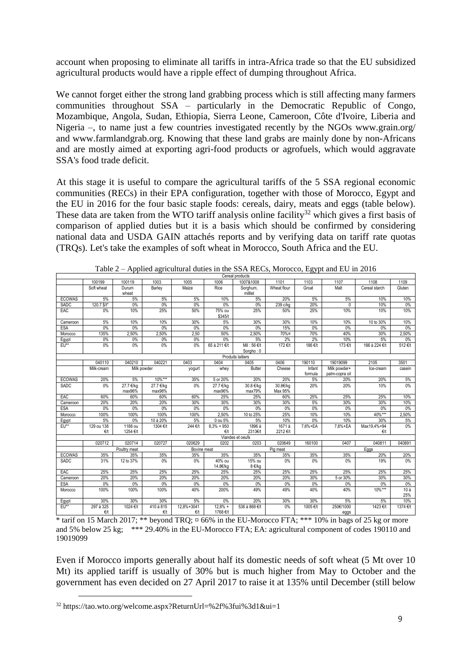account when proposing to eliminate all tariffs in intra-Africa trade so that the EU subsidized agricultural products would have a ripple effect of dumping throughout Africa.

We cannot forget either the strong land grabbing process which is still affecting many farmers communities throughout SSA – particularly in the Democratic Republic of Congo, Mozambique, Angola, Sudan, Ethiopia, Sierra Leone, Cameroon, Côte d'Ivoire, Liberia and Nigeria –, to name just a few countries investigated recently by the NGOs www.grain.org/ and www.farmlandgrab.org. Knowing that these land grabs are mainly done by non-Africans and are mostly aimed at exporting agri-food products or agrofuels, which would aggravate SSA's food trade deficit.

At this stage it is useful to compare the agricultural tariffs of the 5 SSA regional economic communities (RECs) in their EPA configuration, together with those of Morocco, Egypt and the EU in 2016 for the four basic staple foods: cereals, dairy, meats and eggs (table below). These data are taken from the WTO tariff analysis online facility<sup>32</sup> which gives a first basis of comparison of applied duties but it is a basis which should be confirmed by considering national data and USDA GAIN attachés reports and by verifying data on tariff rate quotas (TRQs). Let's take the examples of soft wheat in Morocco, South Africa and the EU.

|               |                    |                     |                            |                   |                       | Cereal products          |                     |                   |                                |                     |            |
|---------------|--------------------|---------------------|----------------------------|-------------------|-----------------------|--------------------------|---------------------|-------------------|--------------------------------|---------------------|------------|
|               | 100199             | 100119              | 1003                       | 1005              | 1006                  | 1007&1008                | 1101                | 1103              | 1107                           | 1108                | 1109       |
|               | Soft wheat         | Durum<br>wheat      | Barley                     | Maize             | Rice                  | Sorghum,<br>millet       | Wheat flour         | Groat             | Malt                           | Cereal starch       | Gluten     |
| <b>ECOWAS</b> | 5%                 | 5%                  | 5%                         | 5%                | 10%                   | 5%                       | 20%                 | 5%                | 5%                             | 10%                 | 10%        |
| SADC          | 120.7 \$/t*        | 0%                  | 0%                         | 0%                | 0%                    | 0%                       | 239 c/kg            | 20%               | $\mathbf{0}$                   | 10%                 | $0\%$      |
| EAC           | 0%                 | 10%                 | 25%                        | 50%               | 75% ou<br>\$345/t     | 25%                      | 50%                 | 25%               | 10%                            | 10%                 | 10%        |
| Cameroon      | 5%                 | 10%                 | 10%                        | 30%               | 5%                    | 30%                      | 30%                 | 10%               | 10%                            | 10 to 30%           | 10%        |
| <b>ESA</b>    | 0%                 | 0%                  | 0%                         | 0%                | $0\%$                 | 0%                       | 15%                 | 0%                | 0%                             | 0%                  | $0\%$      |
| Morocco       | 135%               | 2,50%               | 2,50%                      | 2,50              | 50%                   | 2,50%                    | 70%¤                | 70%               | 40%                            | 30%                 | 2,50%      |
| Eqypt         | 0%                 | 0%                  | 0%                         | 0%                | 0%                    | 5%                       | 2%                  | 2%                | 10%                            | 5%                  | $0\%$      |
| $EU**$        | 0%                 | 0%                  | 0%                         | 0%                | 65 à 211 €/t          | Mil: 56 €/t<br>Sorgho: 0 | 172 €/t             | 186 €/t           | 173 €/t                        | 166 à 224 €/t       | 512 €/t    |
|               |                    |                     |                            |                   |                       | Produits laitiers        |                     |                   |                                |                     |            |
|               | 040110             | 040210              | 040221                     | 0403              | 0404                  | 0405                     | 0406                | 190110            | 19019099                       | 2105                | 3501       |
|               | Milk-cream         |                     | Milk powder                | yogurt            | whey                  | <b>Butter</b>            | Cheese              | Infant<br>formula | Milk powder+<br>palm-copra oil | Ice-cream           | casein     |
| <b>ECOWAS</b> | 20%                | 5%                  | $10\%***$                  | 35%               | 5 or 20%              | 20%                      | 20%                 | 5%                | 20%                            | 20%                 | 5%         |
| <b>SADC</b>   | 0%                 | 27.7 €/kg<br>max96% | 27.7 €/kg<br>max96%        | 0%                | 27.7 €/kg<br>max96%   | 30.8 €/kg<br>max79%      | 30.8€/kg<br>Max 95% | 20%               | 20%                            | 10%                 | 0%         |
| EAC           | 60%                | 60%                 | 60%                        | 60%               | 25%                   | 25%                      | 60%                 | 25%               | 25%                            | 25%                 | 10%        |
| Cameroon      | 20%                | 20%                 | 20%                        | 30%               | 30%                   | 30%                      | 30%                 | 5%                | 30%                            | 30%                 | 10%        |
| <b>ESA</b>    | 0%                 | 0%                  | 0%                         | 0%                | 0%                    | 0%                       | 0%                  | 0%                | 0%                             | 0%                  | $0\%$      |
| Morocco       | 100%               | 100%                | 100%                       | 100%              | 2.50%                 | 10 to 25%                | 25%                 | 10%               | 10%                            | 40%***              | 2,50%      |
| Egypt         | 5%                 | 0%                  | 10 à 20%                   | 5%                | 0 ou 5%               | 5%                       | 10%                 | 0%                | 10%                            | 30%                 | 5%         |
| EU**          | 129 ou 138<br>f(t) | 1188 ou<br>1254 €/t | 1304 €/t                   | 244 €/t           | $8,3% + 950$<br>f(t)  | 1896 à<br>2313€/t        | 1671 à<br>2212 €/t  | 7,6%+EA           | 7,6%+EA                        | Max19,4%+94<br>f(t) | $0\%$      |
|               |                    |                     |                            |                   |                       | Viandes et oeufs         |                     |                   |                                |                     |            |
|               | 020712             | 020714              | 020727                     | 020629            | 0202                  | 0203                     | 020649              | 160100            | 0407                           | 040811              | 040891     |
|               |                    | Poultry meat        |                            | Bovine meat       |                       |                          | Pig meat            |                   |                                | Eggs                |            |
| <b>ECOWAS</b> | 35%                | 35%                 | 35%                        | 35%               | 35%                   | 35%                      | 35%                 | 35%               | 35%                            | 20%                 | 20%        |
| SADC          | 31%                | 12 to 37%           | 0%                         | 0%                | 40% ou<br>14.8€/kg    | 15% ou<br>8 €/kg         | 0%                  | 0%                | 0%                             | 19%                 | 0%         |
| EAC           | 25%                | 25%                 | 25%                        | 25%               | 25%                   | 25%                      | 25%                 | 25%               | 25%                            | 25%                 | 25%        |
| Cameroon      | 20%                | 20%                 | 20%                        | 20%               | 20%                   | 20%                      | 20%                 | 30%               | 5 or 30%                       | 30%                 | 30%        |
| <b>ESA</b>    | $0\%$              | 0%                  | 0%                         | 0%                | 0%                    | $0\%$                    | 0%                  | $0\%$             | 0%                             | 0%                  | $0\%$      |
| Morocco       | 100%               | 100%                | 100%                       | 40%               | 200%                  | 49%                      | 49%                 | 40%               | 40%                            | 10%***              | 10a<br>25% |
| Egypt         | 30%                | 30%                 | 30%                        | 5%                | 0%                    | 20%                      | 30%                 | 30%               | 5%                             | 5%                  | 10%        |
| $EU**$        | 297 à 325<br>€/t   | $1024$ €/t          | 410 à 815<br>$\epsilon$ /t | 12.8%+3041<br>€/t | $12.8% +$<br>1768 €/t | 536 à 869 €/t            | 0%                  | 1005 €/t          | 250€/1000<br>eggs              | 1423 €/t            | 1374 €/t   |

Table 2 – Applied agricultural duties in the SSA RECs, Morocco, Egypt and EU in 2016

 $\frac{\epsilon_{\text{ft}}}{\epsilon_{\text{th}}}$   $\frac{\epsilon_{\text{ft}}}{\epsilon_{\text{th}}}$   $\frac{\epsilon_{\text{ft}}}{\epsilon_{\text{th}}}$   $\frac{\epsilon_{\text{ft}}}{\epsilon_{\text{th}}}$  1768 $\epsilon_{\text{ft}}$  |  $\frac{1}{\epsilon_{\text{th}}}$  |  $\frac{\epsilon_{\text{gs}}}{\epsilon_{\text{gs}}}$  |  $\frac{\epsilon_{\text{gs}}}{\epsilon_{\text{gs}}}$  |  $\frac{\epsilon_{\text{gs}}}{\epsilon_{\text{gs}}}$  |  $\frac{1}{\epsilon_{\text{gs}}}$  |  $\frac{\epsilon_{\text$ and 5% below 25 kg; \*\*\* 29.40% in the EU-Morocco FTA; EA: agricultural component of codes 190110 and 19019099

Even if Morocco imports generally about half its domestic needs of soft wheat (5 Mt over 10 Mt) its applied tariff is usually of 30% but is much higher from May to October and the government has even decided on 27 April 2017 to raise it at 135% until December (still below

<sup>32</sup> https://tao.wto.org/welcome.aspx?ReturnUrl=%2f%3fui%3d1&ui=1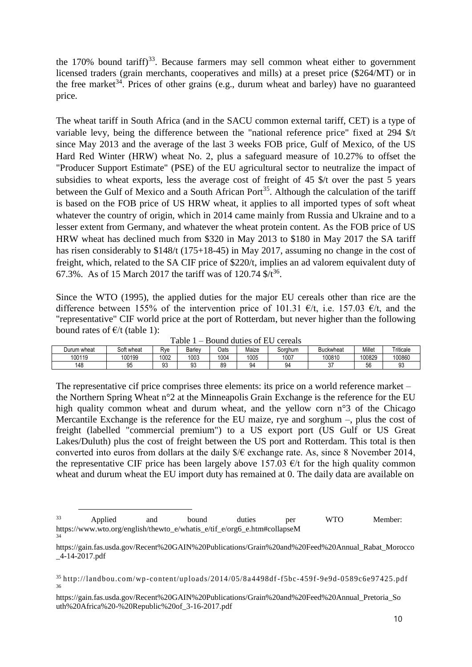the  $170\%$  bound tariff)<sup>33</sup>. Because farmers may sell common wheat either to government licensed traders (grain merchants, cooperatives and mills) at a preset price (\$264/MT) or in the free market<sup>34</sup>. Prices of other grains (e.g., durum wheat and barley) have no guaranteed price.

The wheat tariff in South Africa (and in the SACU common external tariff, CET) is a type of variable levy, being the difference between the "national reference price" fixed at 294 \$/t since May 2013 and the average of the last 3 weeks FOB price, Gulf of Mexico, of the US Hard Red Winter (HRW) wheat No. 2, plus a safeguard measure of 10.27% to offset the "Producer Support Estimate" (PSE) of the EU agricultural sector to neutralize the impact of subsidies to wheat exports, less the average cost of freight of 45 \$/t over the past 5 years between the Gulf of Mexico and a South African Port<sup>35</sup>. Although the calculation of the tariff is based on the FOB price of US HRW wheat, it applies to all imported types of soft wheat whatever the country of origin, which in 2014 came mainly from Russia and Ukraine and to a lesser extent from Germany, and whatever the wheat protein content. As the FOB price of US HRW wheat has declined much from \$320 in May 2013 to \$180 in May 2017 the SA tariff has risen considerably to \$148/t (175+18-45) in May 2017, assuming no change in the cost of freight, which, related to the SA CIF price of \$220/t, implies an ad valorem equivalent duty of 67.3%. As of 15 March 2017 the tariff was of 120.74  $\frac{k}{36}$ .

Since the WTO (1995), the applied duties for the major EU cereals other than rice are the difference between 155% of the intervention price of 101.31  $\epsilon/t$ , i.e. 157.03  $\epsilon/t$ , and the "representative" CIF world price at the port of Rotterdam, but never higher than the following bound rates of  $E/t$  (table 1):

| avie<br>DOUIJU UUUUS OI EU<br><b>CELEAIS</b><br>$\overline{\phantom{a}}$ |            |              |        |             |       |         |             |        |           |  |  |  |  |
|--------------------------------------------------------------------------|------------|--------------|--------|-------------|-------|---------|-------------|--------|-----------|--|--|--|--|
| Durum wheat                                                              | Soft wheat | Rve          | Barley | <b>Dats</b> | Maize | Sorahum | Buckwheat   | Millet | Triticale |  |  |  |  |
| 100119                                                                   | 100199     | 1002         | 1003   | 1004        | 1005  | 1007    | 100810      | 100829 | 100860    |  |  |  |  |
| 148                                                                      | ۵5<br>ĴU   | $\sim$<br>Ju | 93     | 89          | 94    | 94      | $\sim$<br>ັ | 56     |           |  |  |  |  |

Table 1 – Bound duties of EU cereals

The representative cif price comprises three elements: its price on a world reference market – the Northern Spring Wheat n°2 at the Minneapolis Grain Exchange is the reference for the EU high quality common wheat and durum wheat, and the yellow corn n°3 of the Chicago Mercantile Exchange is the reference for the EU maize, rye and sorghum –, plus the cost of freight (labelled "commercial premium") to a US export port (US Gulf or US Great Lakes/Duluth) plus the cost of freight between the US port and Rotterdam. This total is then converted into euros from dollars at the daily  $\frac{1}{2} \times \epsilon$  exchange rate. As, since 8 November 2014, the representative CIF price has been largely above 157.03  $\epsilon$ /t for the high quality common wheat and durum wheat the EU import duty has remained at 0. The daily data are available on

<sup>&</sup>lt;sup>33</sup> Applied and bound duties per WTO Member: https://www.wto.org/english/thewto\_e/whatis\_e/tif\_e/org6\_e.htm#collapseM 34

https://gain.fas.usda.gov/Recent%20GAIN%20Publications/Grain%20and%20Feed%20Annual\_Rabat\_Morocco \_4-14-2017.pdf

<sup>35</sup> http://landbou.com/wp-content/uploads/2014/05/8a4498df-f5bc-459f-9e9d-0589c6e97425.pdf 36

https://gain.fas.usda.gov/Recent%20GAIN%20Publications/Grain%20and%20Feed%20Annual\_Pretoria\_So uth%20Africa%20-%20Republic%20of\_3-16-2017.pdf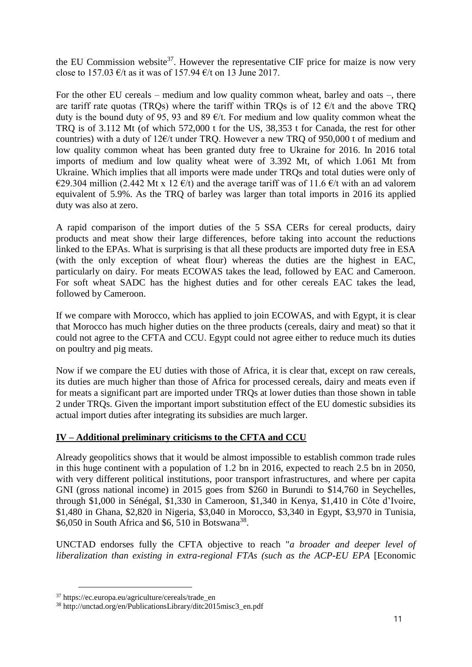the EU Commission website<sup>37</sup>. However the representative CIF price for maize is now very close to 157.03  $\epsilon$ /t as it was of 157.94  $\epsilon$ /t on 13 June 2017.

For the other EU cereals – medium and low quality common wheat, barley and oats –, there are tariff rate quotas (TROs) where the tariff within TROs is of 12  $\epsilon/t$  and the above TRO duty is the bound duty of 95, 93 and 89  $\epsilon/t$ . For medium and low quality common wheat the TRQ is of 3.112 Mt (of which 572,000 t for the US, 38,353 t for Canada, the rest for other countries) with a duty of  $12 \text{E/t}$  under TRQ. However a new TRQ of 950,000 t of medium and low quality common wheat has been granted duty free to Ukraine for 2016. In 2016 total imports of medium and low quality wheat were of 3.392 Mt, of which 1.061 Mt from Ukraine. Which implies that all imports were made under TRQs and total duties were only of €29.304 million (2.442 Mt x 12 €/t) and the average tariff was of 11.6 €/t with an ad valorem equivalent of 5.9%. As the TRQ of barley was larger than total imports in 2016 its applied duty was also at zero.

A rapid comparison of the import duties of the 5 SSA CERs for cereal products, dairy products and meat show their large differences, before taking into account the reductions linked to the EPAs. What is surprising is that all these products are imported duty free in ESA (with the only exception of wheat flour) whereas the duties are the highest in EAC, particularly on dairy. For meats ECOWAS takes the lead, followed by EAC and Cameroon. For soft wheat SADC has the highest duties and for other cereals EAC takes the lead, followed by Cameroon.

If we compare with Morocco, which has applied to join ECOWAS, and with Egypt, it is clear that Morocco has much higher duties on the three products (cereals, dairy and meat) so that it could not agree to the CFTA and CCU. Egypt could not agree either to reduce much its duties on poultry and pig meats.

Now if we compare the EU duties with those of Africa, it is clear that, except on raw cereals, its duties are much higher than those of Africa for processed cereals, dairy and meats even if for meats a significant part are imported under TRQs at lower duties than those shown in table 2 under TRQs. Given the important import substitution effect of the EU domestic subsidies its actual import duties after integrating its subsidies are much larger.

# **IV – Additional preliminary criticisms to the CFTA and CCU**

Already geopolitics shows that it would be almost impossible to establish common trade rules in this huge continent with a population of 1.2 bn in 2016, expected to reach 2.5 bn in 2050, with very different political institutions, poor transport infrastructures, and where per capita GNI (gross national income) in 2015 goes from \$260 in Burundi to \$14,760 in Seychelles, through \$1,000 in Sénégal, \$1,330 in Cameroon, \$1,340 in Kenya, \$1,410 in Côte d'Ivoire, \$1,480 in Ghana, \$2,820 in Nigeria, \$3,040 in Morocco, \$3,340 in Egypt, \$3,970 in Tunisia, \$6,050 in South Africa and \$6, 510 in Botswana<sup>38</sup>.

UNCTAD endorses fully the CFTA objective to reach "*a broader and deeper level of liberalization than existing in extra-regional FTAs (such as the ACP-EU EPA [Economic* 

<sup>37</sup> https://ec.europa.eu/agriculture/cereals/trade\_en

<sup>38</sup> [http://unctad.org/en/PublicationsLibrary/ditc2015misc3\\_en.pdf](http://unctad.org/en/PublicationsLibrary/ditc2015misc3_en.pdf)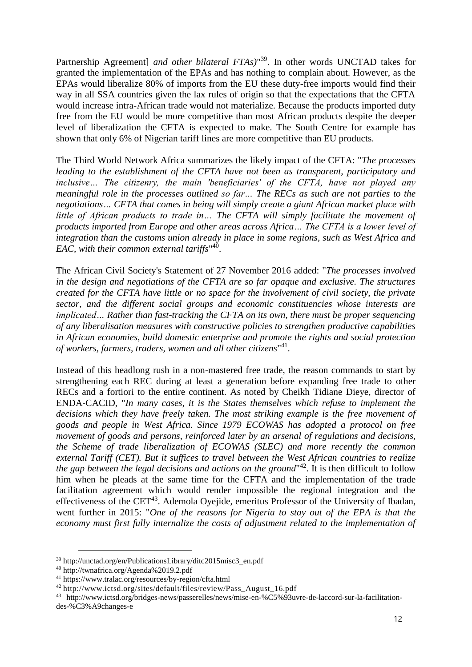Partnership Agreement] *and other bilateral FTAs)*" <sup>39</sup>. In other words UNCTAD takes for granted the implementation of the EPAs and has nothing to complain about. However, as the EPAs would liberalize 80% of imports from the EU these duty-free imports would find their way in all SSA countries given the lax rules of origin so that the expectations that the CFTA would increase intra-African trade would not materialize. Because the products imported duty free from the EU would be more competitive than most African products despite the deeper level of liberalization the CFTA is expected to make. The South Centre for example has shown that only 6% of Nigerian tariff lines are more competitive than EU products.

The Third World Network Africa summarizes the likely impact of the CFTA: "*The processes leading to the establishment of the CFTA have not been as transparent, participatory and inclusive… The citizenry, the main 'beneficiaries' of the CFTA, have not played any meaningful role in the processes outlined so far… The RECs as such are not parties to the negotiations… CFTA that comes in being will simply create a giant African market place with little of African products to trade in… The CFTA will simply facilitate the movement of products imported from Europe and other areas across Africa… The CFTA is a lower level of integration than the customs union already in place in some regions, such as West Africa and EAC, with their common external tariffs*" 40 .

The African Civil Society's Statement of 27 November 2016 added: "*The processes involved in the design and negotiations of the CFTA are so far opaque and exclusive. The structures created for the CFTA have little or no space for the involvement of civil society, the private sector, and the different social groups and economic constituencies whose interests are implicated… Rather than fast-tracking the CFTA on its own, there must be proper sequencing of any liberalisation measures with constructive policies to strengthen productive capabilities in African economies, build domestic enterprise and promote the rights and social protection of workers, farmers, traders, women and all other citizens*" 41 .

Instead of this headlong rush in a non-mastered free trade, the reason commands to start by strengthening each REC during at least a generation before expanding free trade to other RECs and a fortiori to the entire continent. As noted by Cheikh Tidiane Dieye, director of ENDA-CACID, "*In many cases, it is the States themselves which refuse to implement the decisions which they have freely taken. The most striking example is the free movement of goods and people in West Africa. Since 1979 ECOWAS has adopted a protocol on free movement of goods and persons, reinforced later by an arsenal of regulations and decisions, the Scheme of trade liberalization of ECOWAS (SLEC) and more recently the common external Tariff (CET). But it suffices to travel between the West African countries to realize the gap between the legal decisions and actions on the ground*" 42 . It is then difficult to follow him when he pleads at the same time for the CFTA and the implementation of the trade facilitation agreement which would render impossible the regional integration and the effectiveness of the  $CET^{43}$ . Ademola Oyejide, emeritus Professor of the University of Ibadan, went further in 2015: "*One of the reasons for Nigeria to stay out of the EPA is that the economy must first fully internalize the costs of adjustment related to the implementation of* 

<sup>39</sup> [http://unctad.org/en/PublicationsLibrary/ditc2015misc3\\_en.pdf](http://unctad.org/en/PublicationsLibrary/ditc2015misc3_en.pdf)

<sup>40</sup> http://twnafrica.org/Agenda%2019.2.pdf

<sup>41</sup> https://www.tralac.org/resources/by-region/cfta.html

<sup>42</sup> http://www.ictsd.org/sites/default/files/review/Pass\_August\_16.pdf

<sup>43</sup> http://www.ictsd.org/bridges-news/passerelles/news/mise-en-%C5%93uvre-de-laccord-sur-la-facilitationdes-%C3%A9changes-e